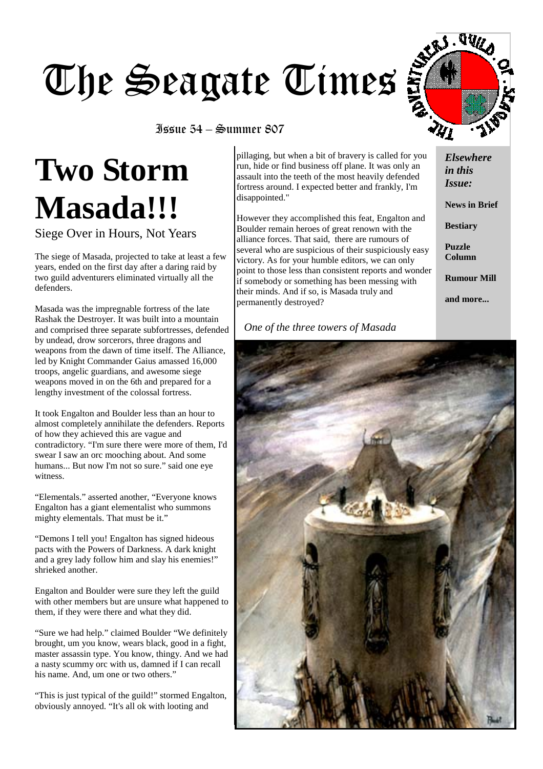# The Seagate Times



#### Issue 54 – Summer 807

# **Two Storm Masada!!!**

Siege Over in Hours, Not Years

The siege of Masada, projected to take at least a few years, ended on the first day after a daring raid by two guild adventurers eliminated virtually all the defenders.

Masada was the impregnable fortress of the late Rashak the Destroyer. It was built into a mountain and comprised three separate subfortresses, defended by undead, drow sorcerors, three dragons and weapons from the dawn of time itself. The Alliance, led by Knight Commander Gaius amassed 16,000 troops, angelic guardians, and awesome siege weapons moved in on the 6th and prepared for a lengthy investment of the colossal fortress.

It took Engalton and Boulder less than an hour to almost completely annihilate the defenders. Reports of how they achieved this are vague and contradictory. "I'm sure there were more of them, I'd swear I saw an orc mooching about. And some humans... But now I'm not so sure." said one eve witness.

"Elementals." asserted another, "Everyone knows Engalton has a giant elementalist who summons mighty elementals. That must be it."

"Demons I tell you! Engalton has signed hideous pacts with the Powers of Darkness. A dark knight and a grey lady follow him and slay his enemies!" shrieked another.

Engalton and Boulder were sure they left the guild with other members but are unsure what happened to them, if they were there and what they did.

"Sure we had help." claimed Boulder "We definitely brought, um you know, wears black, good in a fight, master assassin type. You know, thingy. And we had a nasty scummy orc with us, damned if I can recall his name. And, um one or two others."

"This is just typical of the guild!" stormed Engalton, obviously annoyed. "It's all ok with looting and

pillaging, but when a bit of bravery is called for you run, hide or find business off plane. It was only an assault into the teeth of the most heavily defended fortress around. I expected better and frankly, I'm disappointed."

However they accomplished this feat, Engalton and Boulder remain heroes of great renown with the alliance forces. That said, there are rumours of several who are suspicious of their suspiciously easy victory. As for your humble editors, we can only point to those less than consistent reports and wonder if somebody or something has been messing with their minds. And if so, is Masada truly and permanently destroyed?

#### *One of the three towers of Masada*

*Elsewhere in this Issue:* 

**News in Brief** 

**Bestiary** 

**Puzzle Column** 

**Rumour Mill** 

**and more...** 

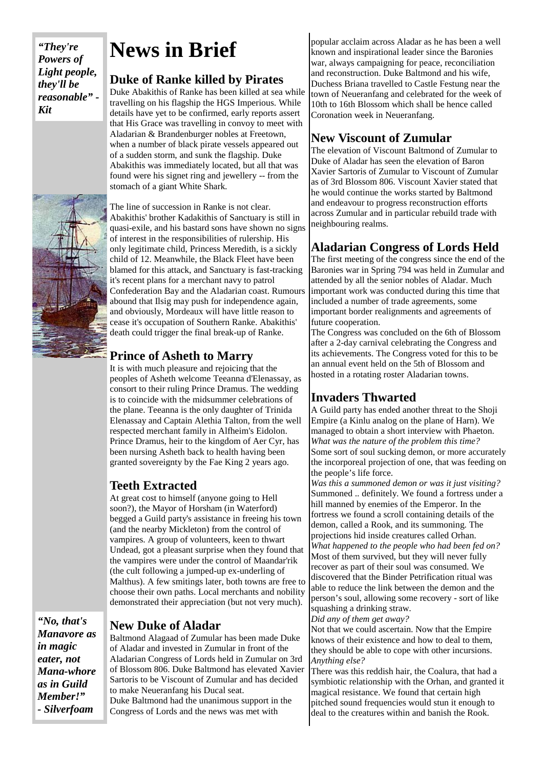*"They're Powers of Light people, they'll be reasonable" - Kit* 

## **News in Brief**

#### **Duke of Ranke killed by Pirates**

Duke Abakithis of Ranke has been killed at sea while travelling on his flagship the HGS Imperious. While details have yet to be confirmed, early reports assert that His Grace was travelling in convoy to meet with Aladarian & Brandenburger nobles at Freetown, when a number of black pirate vessels appeared out of a sudden storm, and sunk the flagship. Duke Abakithis was immediately located, but all that was found were his signet ring and jewellery -- from the stomach of a giant White Shark.

The line of succession in Ranke is not clear. Abakithis' brother Kadakithis of Sanctuary is still in quasi-exile, and his bastard sons have shown no signs of interest in the responsibilities of rulership. His only legitimate child, Princess Meredith, is a sickly child of 12. Meanwhile, the Black Fleet have been blamed for this attack, and Sanctuary is fast-tracking it's recent plans for a merchant navy to patrol Confederation Bay and the Aladarian coast. Rumours abound that Ilsig may push for independence again, and obviously, Mordeaux will have little reason to cease it's occupation of Southern Ranke. Abakithis' death could trigger the final break-up of Ranke.

#### **Prince of Asheth to Marry**

It is with much pleasure and rejoicing that the peoples of Asheth welcome Teeanna d'Elenassay, as consort to their ruling Prince Dramus. The wedding is to coincide with the midsummer celebrations of the plane. Teeanna is the only daughter of Trinida Elenassay and Captain Alethia Talton, from the well respected merchant family in Alfheim's Eidolon. Prince Dramus, heir to the kingdom of Aer Cyr, has been nursing Asheth back to health having been granted sovereignty by the Fae King 2 years ago.

### **Teeth Extracted**

At great cost to himself (anyone going to Hell soon?), the Mayor of Horsham (in Waterford) begged a Guild party's assistance in freeing his town (and the nearby Mickleton) from the control of vampires. A group of volunteers, keen to thwart Undead, got a pleasant surprise when they found that the vampires were under the control of Maandar'rik (the cult following a jumped-up ex-underling of Malthus). A few smitings later, both towns are free to choose their own paths. Local merchants and nobility demonstrated their appreciation (but not very much).

*"No, that's Manavore as in magic eater, not Mana-whore as in Guild Member!" - Silverfoam* 

#### **New Duke of Aladar**

Baltmond Alagaad of Zumular has been made Duke of Aladar and invested in Zumular in front of the Aladarian Congress of Lords held in Zumular on 3rd of Blossom 806. Duke Baltmond has elevated Xavier Sartoris to be Viscount of Zumular and has decided to make Neueranfang his Ducal seat. Duke Baltmond had the unanimous support in the Congress of Lords and the news was met with

popular acclaim across Aladar as he has been a well known and inspirational leader since the Baronies war, always campaigning for peace, reconciliation and reconstruction. Duke Baltmond and his wife, Duchess Briana travelled to Castle Festung near the town of Neueranfang and celebrated for the week of 10th to 16th Blossom which shall be hence called Coronation week in Neueranfang.

#### **New Viscount of Zumular**

The elevation of Viscount Baltmond of Zumular to Duke of Aladar has seen the elevation of Baron Xavier Sartoris of Zumular to Viscount of Zumular as of 3rd Blossom 806. Viscount Xavier stated that he would continue the works started by Baltmond and endeavour to progress reconstruction efforts across Zumular and in particular rebuild trade with neighbouring realms.

#### **Aladarian Congress of Lords Held**

The first meeting of the congress since the end of the Baronies war in Spring 794 was held in Zumular and attended by all the senior nobles of Aladar. Much important work was conducted during this time that included a number of trade agreements, some important border realignments and agreements of future cooperation.

The Congress was concluded on the 6th of Blossom after a 2-day carnival celebrating the Congress and its achievements. The Congress voted for this to be an annual event held on the 5th of Blossom and hosted in a rotating roster Aladarian towns.

#### **Invaders Thwarted**

A Guild party has ended another threat to the Shoji Empire (a Kinlu analog on the plane of Harn). We managed to obtain a short interview with Phaeton. *What was the nature of the problem this time?*  Some sort of soul sucking demon, or more accurately the incorporeal projection of one, that was feeding on the people's life force.

*Was this a summoned demon or was it just visiting?*  Summoned .. definitely. We found a fortress under a hill manned by enemies of the Emperor. In the fortress we found a scroll containing details of the demon, called a Rook, and its summoning. The projections hid inside creatures called Orhan. *What happened to the people who had been fed on?*  Most of them survived, but they will never fully recover as part of their soul was consumed. We discovered that the Binder Petrification ritual was able to reduce the link between the demon and the person's soul, allowing some recovery - sort of like squashing a drinking straw.

*Did any of them get away?*  Not that we could ascertain. Now that the Empire knows of their existence and how to deal to them,

they should be able to cope with other incursions. *Anything else?* 

There was this reddish hair, the Coalura, that had a symbiotic relationship with the Orhan, and granted it magical resistance. We found that certain high pitched sound frequencies would stun it enough to deal to the creatures within and banish the Rook.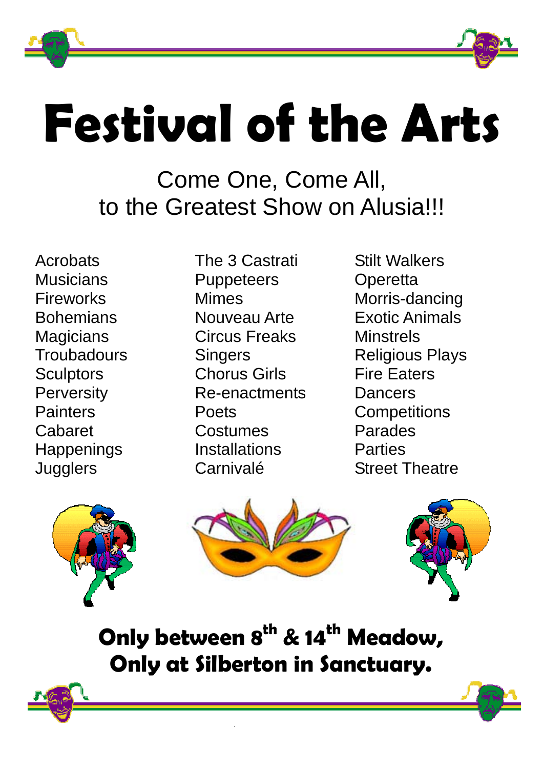



# **Festival of the Arts**

Come One, Come All, to the Greatest Show on Alusia!!!

Acrobats **Musicians** Fireworks **Bohemians Magicians Troubadours Sculptors Perversity Painters** Cabaret **Happenings Jugglers** 

The 3 Castrati **Puppeteers** Mimes Nouveau Arte Circus Freaks **Singers** Chorus Girls Re-enactments Poets Costumes **Installations** Carnivalé

Stilt Walkers **Operetta** Morris-dancing Exotic Animals **Minstrels** Religious Plays Fire Eaters Dancers **Competitions** Parades **Parties** Street Theatre







**Only between 8<sup>th</sup> & 14<sup>th</sup> Meadow, Only at Silberton in Sanctuary.**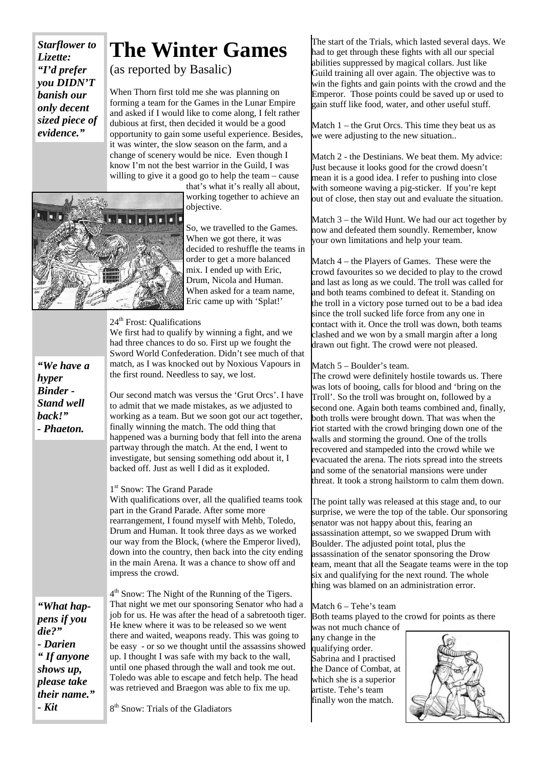*Starflower to Lizette: "I'd prefer you DIDN'T banish our only decent sized piece of evidence."* 

## **The Winter Games**

(as reported by Basalic)

When Thorn first told me she was planning on forming a team for the Games in the Lunar Empire and asked if I would like to come along, I felt rather dubious at first, then decided it would be a good opportunity to gain some useful experience. Besides, it was winter, the slow season on the farm, and a change of scenery would be nice. Even though I know I'm not the best warrior in the Guild, I was willing to give it a good go to help the team – cause

that's what it's really all about, working together to achieve an objective.



So, we travelled to the Games. When we got there, it was decided to reshuffle the teams in order to get a more balanced mix. I ended up with Eric, Drum, Nicola and Human. When asked for a team name, Eric came up with 'Splat!'

#### 24<sup>th</sup> Frost: Qualifications

We first had to qualify by winning a fight, and we had three chances to do so. First up we fought the Sword World Confederation. Didn't see much of that match, as I was knocked out by Noxious Vapours in the first round. Needless to say, we lost.

Our second match was versus the 'Grut Orcs'. I have to admit that we made mistakes, as we adjusted to working as a team. But we soon got our act together, finally winning the match. The odd thing that happened was a burning body that fell into the arena partway through the match. At the end, I went to investigate, but sensing something odd about it, I backed off. Just as well I did as it exploded.

#### 1<sup>st</sup> Snow: The Grand Parade

With qualifications over, all the qualified teams took part in the Grand Parade. After some more rearrangement, I found myself with Mehb, Toledo, Drum and Human. It took three days as we worked our way from the Block, (where the Emperor lived), down into the country, then back into the city ending in the main Arena. It was a chance to show off and impress the crowd.

4th Snow: The Night of the Running of the Tigers. That night we met our sponsoring Senator who had a job for us. He was after the head of a sabretooth tiger. He knew where it was to be released so we went there and waited, weapons ready. This was going to be easy - or so we thought until the assassins showed up. I thought I was safe with my back to the wall, until one phased through the wall and took me out. Toledo was able to escape and fetch help. The head was retrieved and Braegon was able to fix me up.

*"What happens if you die?" - Darien " If anyone shows up, please take their name." - Kit* 

*"We have a* 

*hyper Binder - Stand well back!" - Phaeton.* 

8<sup>th</sup> Snow: Trials of the Gladiators

The start of the Trials, which lasted several days. We had to get through these fights with all our special abilities suppressed by magical collars. Just like Guild training all over again. The objective was to win the fights and gain points with the crowd and the Emperor. Those points could be saved up or used to gain stuff like food, water, and other useful stuff.

Match  $1$  – the Grut Orcs. This time they beat us as we were adjusting to the new situation..

Match 2 - the Destinians. We beat them. My advice: Just because it looks good for the crowd doesn't mean it is a good idea. I refer to pushing into close with someone waving a pig-sticker. If you're kept out of close, then stay out and evaluate the situation.

Match 3 – the Wild Hunt. We had our act together by now and defeated them soundly. Remember, know your own limitations and help your team.

Match 4 – the Players of Games. These were the crowd favourites so we decided to play to the crowd and last as long as we could. The troll was called for and both teams combined to defeat it. Standing on the troll in a victory pose turned out to be a bad idea since the troll sucked life force from any one in contact with it. Once the troll was down, both teams clashed and we won by a small margin after a long drawn out fight. The crowd were not pleased.

#### Match 5 – Boulder's team.

The crowd were definitely hostile towards us. There was lots of booing, calls for blood and 'bring on the Troll'. So the troll was brought on, followed by a second one. Again both teams combined and, finally, both trolls were brought down. That was when the riot started with the crowd bringing down one of the walls and storming the ground. One of the trolls recovered and stampeded into the crowd while we evacuated the arena. The riots spread into the streets and some of the senatorial mansions were under threat. It took a strong hailstorm to calm them down.

The point tally was released at this stage and, to our surprise, we were the top of the table. Our sponsoring senator was not happy about this, fearing an assassination attempt, so we swapped Drum with Boulder. The adjusted point total, plus the assassination of the senator sponsoring the Drow team, meant that all the Seagate teams were in the top six and qualifying for the next round. The whole thing was blamed on an administration error.

### Match 6 – Tehe's team

Both teams played to the crowd for points as there

was not much chance of any change in the qualifying order. Sabrina and I practised the Dance of Combat, at which she is a superior artiste. Tehe's team finally won the match.

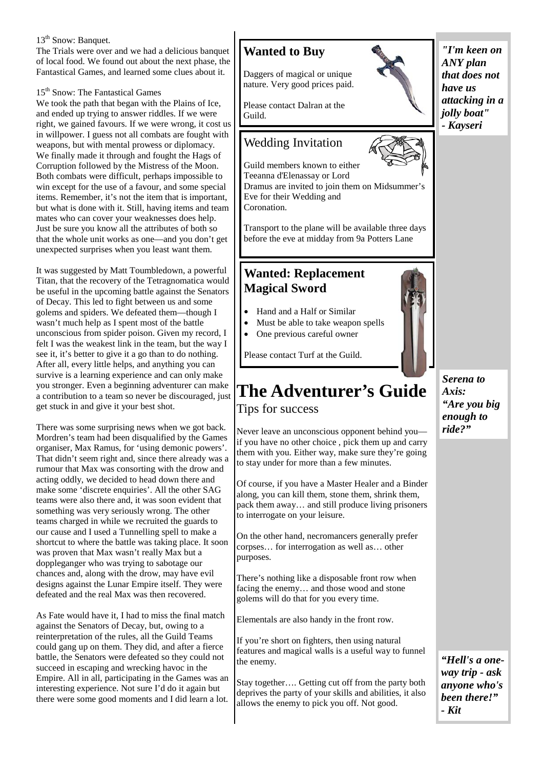#### 13<sup>th</sup> Snow: Banquet.

The Trials were over and we had a delicious banquet of local food. We found out about the next phase, the Fantastical Games, and learned some clues about it.

#### 15<sup>th</sup> Snow: The Fantastical Games

We took the path that began with the Plains of Ice, and ended up trying to answer riddles. If we were right, we gained favours. If we were wrong, it cost us in willpower. I guess not all combats are fought with weapons, but with mental prowess or diplomacy. We finally made it through and fought the Hags of Corruption followed by the Mistress of the Moon. Both combats were difficult, perhaps impossible to win except for the use of a favour, and some special items. Remember, it's not the item that is important, but what is done with it. Still, having items and team mates who can cover your weaknesses does help. Just be sure you know all the attributes of both so that the whole unit works as one—and you don't get unexpected surprises when you least want them.

It was suggested by Matt Toumbledown, a powerful Titan, that the recovery of the Tetragnomatica would be useful in the upcoming battle against the Senators of Decay. This led to fight between us and some golems and spiders. We defeated them—though I wasn't much help as I spent most of the battle unconscious from spider poison. Given my record, I felt I was the weakest link in the team, but the way I see it, it's better to give it a go than to do nothing. After all, every little helps, and anything you can survive is a learning experience and can only make you stronger. Even a beginning adventurer can make a contribution to a team so never be discouraged, just get stuck in and give it your best shot.

There was some surprising news when we got back. Mordren's team had been disqualified by the Games organiser, Max Ramus, for 'using demonic powers'. That didn't seem right and, since there already was a rumour that Max was consorting with the drow and acting oddly, we decided to head down there and make some 'discrete enquiries'. All the other SAG teams were also there and, it was soon evident that something was very seriously wrong. The other teams charged in while we recruited the guards to our cause and I used a Tunnelling spell to make a shortcut to where the battle was taking place. It soon was proven that Max wasn't really Max but a doppleganger who was trying to sabotage our chances and, along with the drow, may have evil designs against the Lunar Empire itself. They were defeated and the real Max was then recovered.

As Fate would have it, I had to miss the final match against the Senators of Decay, but, owing to a reinterpretation of the rules, all the Guild Teams could gang up on them. They did, and after a fierce battle, the Senators were defeated so they could not succeed in escaping and wrecking havoc in the Empire. All in all, participating in the Games was an interesting experience. Not sure I'd do it again but there were some good moments and I did learn a lot.

#### **Wanted to Buy**

Daggers of magical or unique nature. Very good prices paid.

Please contact Dalran at the Guild.

#### Wedding Invitation



Transport to the plane will be available three days before the eve at midday from 9a Potters Lane

#### **Wanted: Replacement Magical Sword**

- Hand and a Half or Similar
- Must be able to take weapon spells
- One previous careful owner

Please contact Turf at the Guild.

## **The Adventurer's Guide**  Tips for success

Never leave an unconscious opponent behind you if you have no other choice , pick them up and carry them with you. Either way, make sure they're going to stay under for more than a few minutes.

Of course, if you have a Master Healer and a Binder along, you can kill them, stone them, shrink them, pack them away… and still produce living prisoners to interrogate on your leisure.

On the other hand, necromancers generally prefer corpses… for interrogation as well as… other purposes.

There's nothing like a disposable front row when facing the enemy… and those wood and stone golems will do that for you every time.

Elementals are also handy in the front row.

If you're short on fighters, then using natural features and magical walls is a useful way to funnel the enemy.

Stay together…. Getting cut off from the party both deprives the party of your skills and abilities, it also allows the enemy to pick you off. Not good.

*"I'm keen on ANY plan that does not have us attacking in a jolly boat" - Kayseri* 

*Serena to Axis: "Are you big enough to* 

*ride?"* 

*"Hell's a oneway trip - ask anyone who's been there!" - Kit*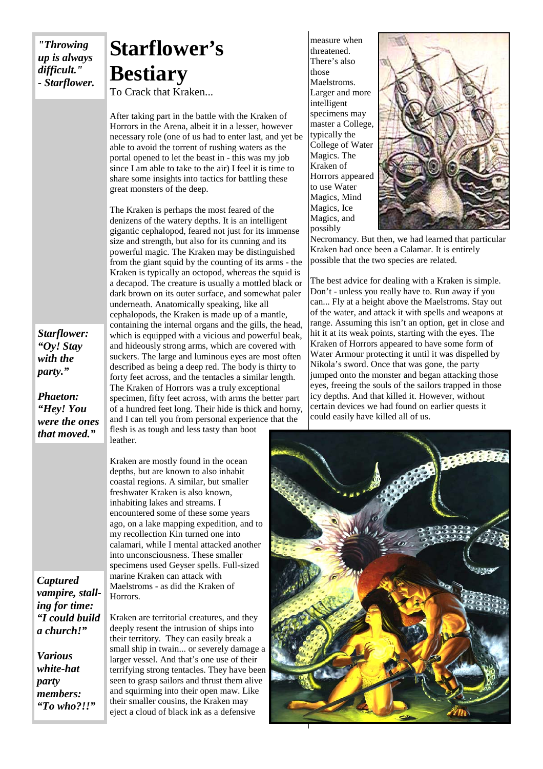*"Throwing up is always difficult." - Starflower.* 

## **Starflower's Bestiary**

To Crack that Kraken...

After taking part in the battle with the Kraken of Horrors in the Arena, albeit it in a lesser, however necessary role (one of us had to enter last, and yet be able to avoid the torrent of rushing waters as the portal opened to let the beast in - this was my job since I am able to take to the air) I feel it is time to share some insights into tactics for battling these great monsters of the deep.

The Kraken is perhaps the most feared of the denizens of the watery depths. It is an intelligent gigantic cephalopod, feared not just for its immense size and strength, but also for its cunning and its powerful magic. The Kraken may be distinguished from the giant squid by the counting of its arms - the Kraken is typically an octopod, whereas the squid is a decapod. The creature is usually a mottled black or dark brown on its outer surface, and somewhat paler underneath. Anatomically speaking, like all cephalopods, the Kraken is made up of a mantle, containing the internal organs and the gills, the head, which is equipped with a vicious and powerful beak. and hideously strong arms, which are covered with suckers. The large and luminous eyes are most often described as being a deep red. The body is thirty to forty feet across, and the tentacles a similar length. The Kraken of Horrors was a truly exceptional specimen, fifty feet across, with arms the better part of a hundred feet long. Their hide is thick and horny, and I can tell you from personal experience that the flesh is as tough and less tasty than boot

Kraken are mostly found in the ocean depths, but are known to also inhabit coastal regions. A similar, but smaller freshwater Kraken is also known, inhabiting lakes and streams. I encountered some of these some years ago, on a lake mapping expedition, and to my recollection Kin turned one into calamari, while I mental attacked another into unconsciousness. These smaller specimens used Geyser spells. Full-sized marine Kraken can attack with Maelstroms - as did the Kraken of Horrors.

*Captured vampire, stalling for time: "I could build a church!"* 

*Various white-hat party members: "To who?!!"* 

Kraken are territorial creatures, and they deeply resent the intrusion of ships into their territory. They can easily break a small ship in twain... or severely damage a larger vessel. And that's one use of their terrifying strong tentacles. They have been seen to grasp sailors and thrust them alive and squirming into their open maw. Like their smaller cousins, the Kraken may eject a cloud of black ink as a defensive

measure when threatened. There's also those Maelstroms. Larger and more intelligent specimens may master a College, typically the College of Water Magics. The Kraken of Horrors appeared to use Water Magics, Mind Magics, Ice Magics, and possibly



Necromancy. But then, we had learned that particular Kraken had once been a Calamar. It is entirely possible that the two species are related.

The best advice for dealing with a Kraken is simple. Don't - unless you really have to. Run away if you can... Fly at a height above the Maelstroms. Stay out of the water, and attack it with spells and weapons at range. Assuming this isn't an option, get in close and hit it at its weak points, starting with the eyes. The Kraken of Horrors appeared to have some form of Water Armour protecting it until it was dispelled by Nikola's sword. Once that was gone, the party jumped onto the monster and began attacking those eyes, freeing the souls of the sailors trapped in those icy depths. And that killed it. However, without certain devices we had found on earlier quests it could easily have killed all of us.



*Starflower: "Oy! Stay with the party."* 

*Phaeton: "Hey! You were the ones that moved."* 

leather.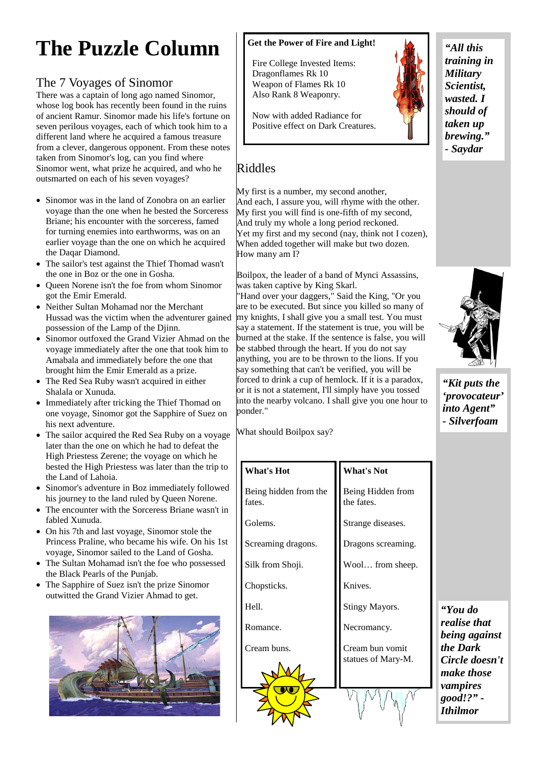## **The Puzzle Column**

#### The 7 Voyages of Sinomor

There was a captain of long ago named Sinomor, whose log book has recently been found in the ruins of ancient Ramur. Sinomor made his life's fortune on seven perilous voyages, each of which took him to a different land where he acquired a famous treasure from a clever, dangerous opponent. From these notes taken from Sinomor's log, can you find where Sinomor went, what prize he acquired, and who he outsmarted on each of his seven voyages?

- Sinomor was in the land of Zonobra on an earlier voyage than the one when he bested the Sorceress Briane; his encounter with the sorceress, famed for turning enemies into earthworms, was on an earlier voyage than the one on which he acquired the Daqar Diamond.
- The sailor's test against the Thief Thomad wasn't the one in Boz or the one in Gosha.
- Queen Norene isn't the foe from whom Sinomor got the Emir Emerald.
- Neither Sultan Mohamad nor the Merchant Hussad was the victim when the adventurer gained possession of the Lamp of the Djinn.
- Sinomor outfoxed the Grand Vizier Ahmad on the voyage immediately after the one that took him to Amabala and immediately before the one that brought him the Emir Emerald as a prize.
- The Red Sea Ruby wasn't acquired in either Shalala or Xunuda.
- Immediately after tricking the Thief Thomad on one voyage, Sinomor got the Sapphire of Suez on his next adventure.
- The sailor acquired the Red Sea Ruby on a voyage later than the one on which he had to defeat the High Priestess Zerene; the voyage on which he bested the High Priestess was later than the trip to the Land of Lahoia.
- Sinomor's adventure in Boz immediately followed his journey to the land ruled by Queen Norene.
- The encounter with the Sorceress Briane wasn't in fabled Xunuda.
- On his 7th and last voyage, Sinomor stole the Princess Praline, who became his wife. On his 1st voyage, Sinomor sailed to the Land of Gosha.
- The Sultan Mohamad isn't the foe who possessed the Black Pearls of the Punjab.
- The Sapphire of Suez isn't the prize Sinomor outwitted the Grand Vizier Ahmad to get.



#### **Get the Power of Fire and Light!**

 Fire College Invested Items: Dragonflames Rk 10 Weapon of Flames Rk 10 Also Rank 8 Weaponry.

 Now with added Radiance for Positive effect on Dark Creatures.



#### *"All this training in Military Scientist, wasted. I should of taken up brewing." - Saydar*

#### Riddles

My first is a number, my second another, And each, I assure you, will rhyme with the other. My first you will find is one-fifth of my second, And truly my whole a long period reckoned. Yet my first and my second (nay, think not I cozen), When added together will make but two dozen. How many am I?

Boilpox, the leader of a band of Mynci Assassins, was taken captive by King Skarl.

"Hand over your daggers," Said the King, "Or you are to be executed. But since you killed so many of my knights, I shall give you a small test. You must say a statement. If the statement is true, you will be burned at the stake. If the sentence is false, you will be stabbed through the heart. If you do not say anything, you are to be thrown to the lions. If you say something that can't be verified, you will be forced to drink a cup of hemlock. If it is a paradox, or it is not a statement, I'll simply have you tossed into the nearby volcano. I shall give you one hour to ponder."

What should Boilpox say?

Being hidden from the

Golems.

fates.

**What's Hot** 

Screaming dragons.

Silk from Shoji.

Chopsticks.

Hell.

Romance.

Cream buns.



Being Hidden from the fates.

Strange diseases.

Dragons screaming.

Wool… from sheep.

Knives.

Stingy Mayors.

Necromancy.

Cream bun vomit statues of Mary-M.

*"You do realise that being against the Dark Circle doesn't make those vampires good!?" - Ithilmor* 

*"Kit puts the 'provocateur' into Agent" - Silverfoam* 

**What's Not**